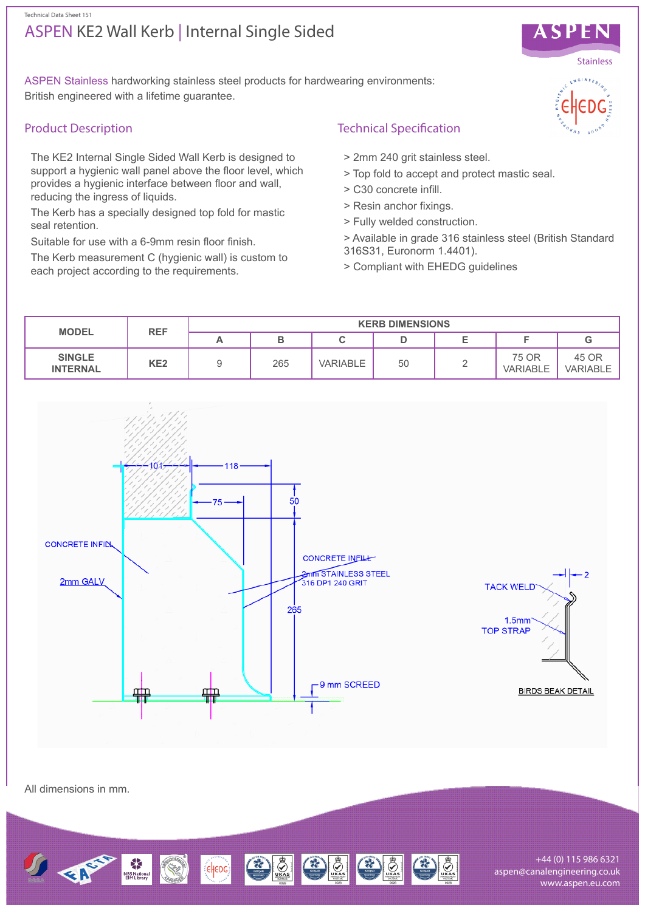#### Technical Data Sheet 151

# ASPEN KE2 Wall Kerb | Internal Single Sided



## Product Description

The KE2 Internal Single Sided Wall Kerb is designed to support a hygienic wall panel above the floor level, which provides a hygienic interface between floor and wall, reducing the ingress of liquids.

The Kerb has a specially designed top fold for mastic seal retention.

Suitable for use with a 6-9mm resin floor finish.

The Kerb measurement C (hygienic wall) is custom to each project according to the requirements.

## Technical Specification

- > 2mm 240 grit stainless steel.
- > Top fold to accept and protect mastic seal.
- > C30 concrete infill.
- > Resin anchor fixings.
- > Fully welded construction.
- > Available in grade 316 stainless steel (British Standard 316S31, Euronorm 1.4401).
- > Compliant with EHEDG guidelines



All dimensions in mm.



+44 (0) 115 986 6321 aspen@canalengineering.co.uk www.aspen.eu.com